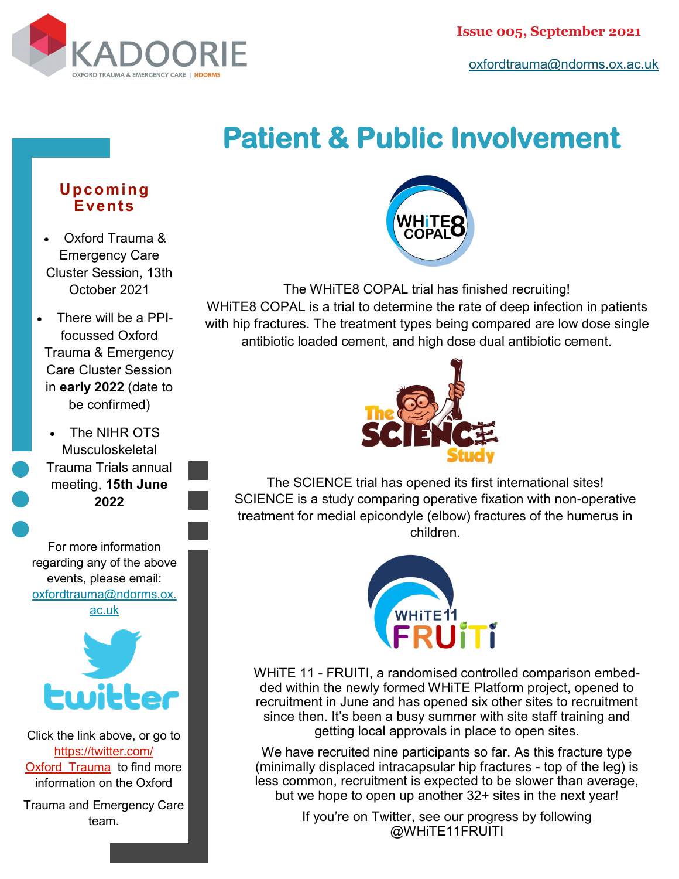

[oxfordtrauma@ndorms.ox.ac.uk](mailto:oxfordtrauma@ndorms.ox.ac.uk)

## **Patient & Public Involvement**

## **Upcoming Events**

- Oxford Trauma & Emergency Care Cluster Session, 13th October 2021
- There will be a PPIfocussed Oxford Trauma & Emergency Care Cluster Session in **early 2022** (date to be confirmed)
- The NIHR OTS **Musculoskeletal** Trauma Trials annual meeting, **15th June 2022**

For more information regarding any of the above events, please email: [oxfordtrauma@ndorms.ox.](mailto:oxfordtrauma@ndorms.ox.ac.uk) [ac.uk](mailto:oxfordtrauma@ndorms.ox.ac.uk)



Click the link above, or go to [https://twitter.com/](https://twitter.com/Oxford_Trauma) Oxford Trauma to find more information on the Oxford

Trauma and Emergency Care team.



The WHiTE8 COPAL trial has finished recruiting! WHiTE8 COPAL is a trial to determine the rate of deep infection in patients with hip fractures. The treatment types being compared are low dose single antibiotic loaded cement, and high dose dual antibiotic cement.



The SCIENCE trial has opened its first international sites! SCIENCE is a study comparing operative fixation with non-operative treatment for medial epicondyle (elbow) fractures of the humerus in children.



WHiTE 11 - FRUITI, a randomised controlled comparison embedded within the newly formed WHiTE Platform project, opened to recruitment in June and has opened six other sites to recruitment since then. It's been a busy summer with site staff training and getting local approvals in place to open sites.

We have recruited nine participants so far. As this fracture type (minimally displaced intracapsular hip fractures - top of the leg) is less common, recruitment is expected to be slower than average, but we hope to open up another 32+ sites in the next year!

> If you're on Twitter, see our progress by following @WHiTE11FRUITI